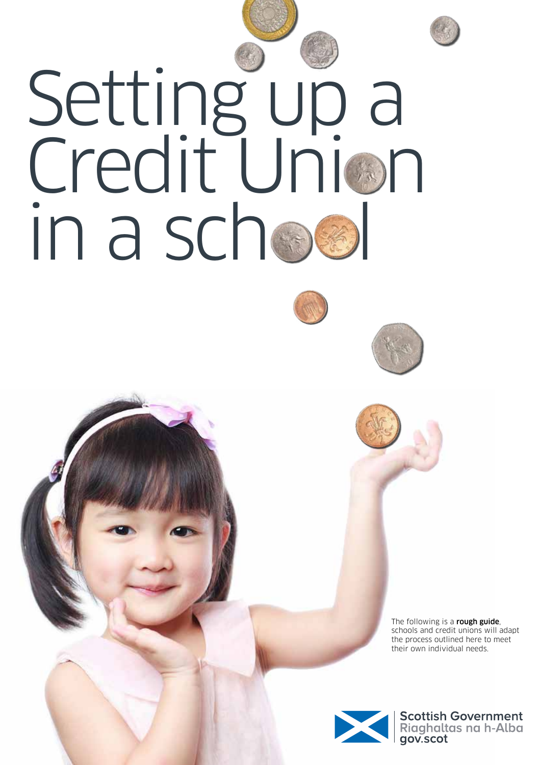



The following is a rough guide, schools and credit unions will adapt the process outlined here to meet their own individual needs.



Scottish Government<br>Riaghaltas na h-Alba<br>gov.scot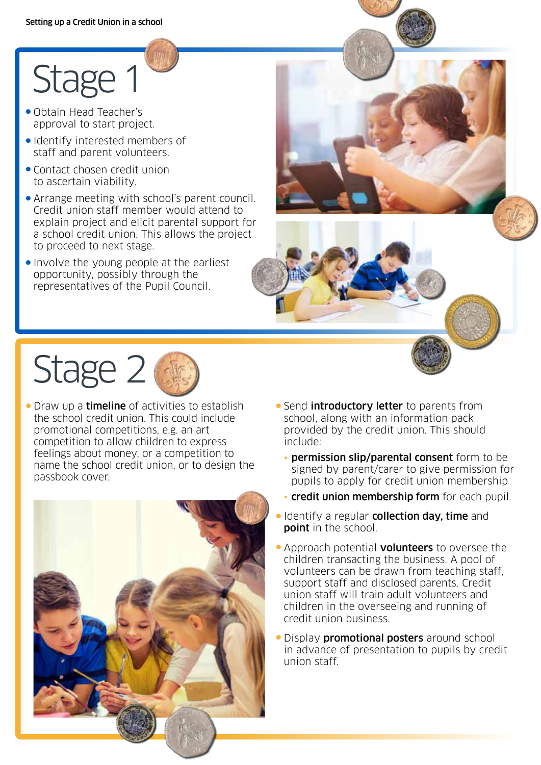## Stage 1

- Obtain Head Teacher's approval to start project.
- Identify interested members of staff and parent volunteers.
- Contact chosen credit union to ascertain viability.
- Arrange meeting with school's parent council. Credit union staff member would attend to explain project and elicit parental support for a school credit union. This allows the project to proceed to next stage.
- Involve the young people at the earliest opportunity, possibly through the representatives of the Pupil Council.



## Stage 2

• Draw up a **timeline** of activities to establish the school credit union. This could include promotional competitions, e.g. an art competition to allow children to express feelings about money, or a competition to name the school credit union, or to design the passbook cover.



- **Send introductory letter** to parents from school, along with an information pack provided by the credit union. This should include:
	- permission slip/parental consent form to be signed by parent/carer to give permission for pupils to apply for credit union membership
	- credit union membership form for each pupil.
- **Identify a regular collection day, time and point** in the school.
- Approach potential **volunteers** to oversee the children transacting the business. A pool of volunteers can be drawn from teaching staff, support staff and disclosed parents. Credit union staff will train adult volunteers and children in the overseeing and running of credit union business.
- **Display promotional posters** around school in advance of presentation to pupils by credit union staff.